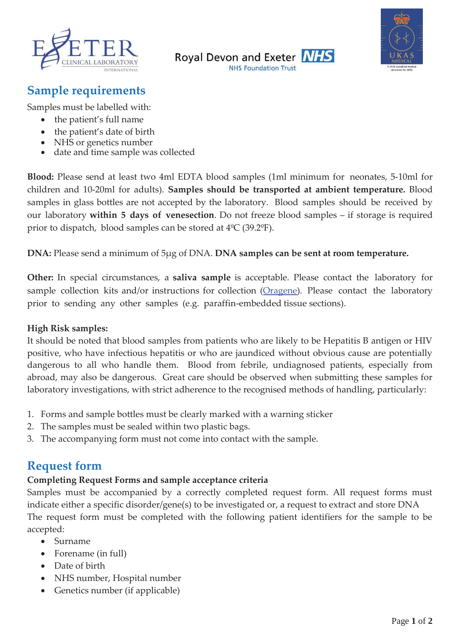





# **Sample requirements**

Samples must be labelled with:

- the patient's full name
- the patient's date of birth
- x NHS or genetics number
- date and time sample was collected

**Blood:** Please send at least two 4ml EDTA blood samples (1ml minimum for neonates, 5-10ml for children and 10-20ml for adults). **Samples should be transported at ambient temperature.** Blood samples in glass bottles are not accepted by the laboratory. Blood samples should be received by our laboratory **within 5 days of venesection**. Do not freeze blood samples – if storage is required prior to dispatch, blood samples can be stored at 4ºC (39.2ºF).

**DNA:** Please send a minimum of 5μg of DNA. **DNA samples can be sent at room temperature.** 

**Other:** In special circumstances, a **saliva sample** is acceptable. Please contact the laboratory for sample collection kits and/or instructions for collection (Oragene). Please contact the laboratory prior to sending any other samples (e.g. paraffin-embedded tissue sections).

#### **High Risk samples:**

It should be noted that blood samples from patients who are likely to be Hepatitis B antigen or HIV positive, who have infectious hepatitis or who are jaundiced without obvious cause are potentially dangerous to all who handle them. Blood from febrile, undiagnosed patients, especially from abroad, may also be dangerous. Great care should be observed when submitting these samples for laboratory investigations, with strict adherence to the recognised methods of handling, particularly:

- 1. Forms and sample bottles must be clearly marked with a warning sticker
- 2. The samples must be sealed within two plastic bags.
- The accompanying form must not come into contact with the sample.

### **Request form**

#### **Completing Request Forms and sample acceptance criteria**

Samples must be accompanied by a correctly completed request form. All request forms must indicate either a specific disorder/gene(s) to be investigated or, a request to extract and store DNA The request form must be completed with the following patient identifiers for the sample to be accepted:

- $\bullet$  Surname
- Forename (in full)
- Date of birth
- NHS number, Hospital number
- Genetics number (if applicable)